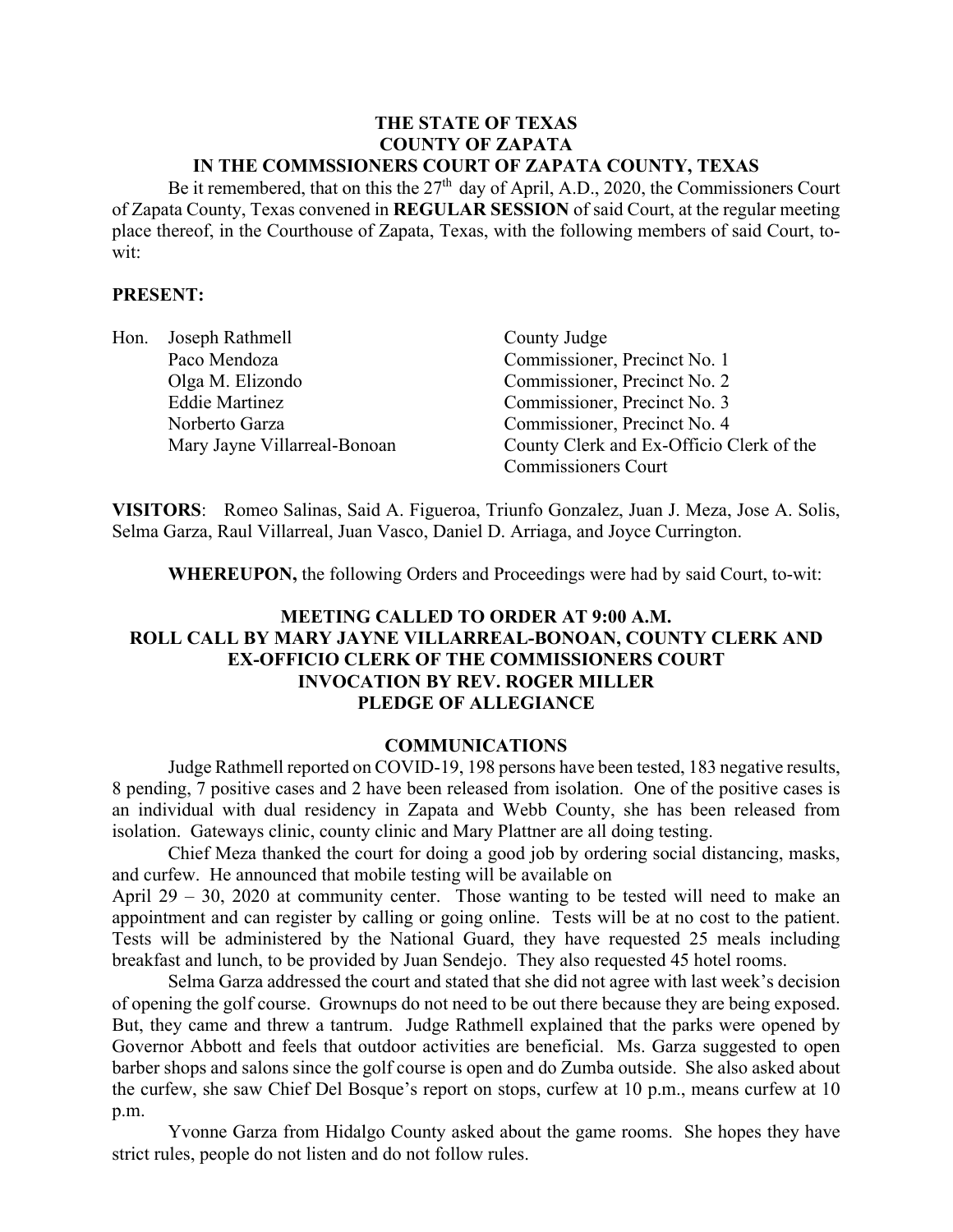#### **THE STATE OF TEXAS COUNTY OF ZAPATA IN THE COMMSSIONERS COURT OF ZAPATA COUNTY, TEXAS**

Be it remembered, that on this the  $27<sup>th</sup>$  day of April, A.D., 2020, the Commissioners Court of Zapata County, Texas convened in **REGULAR SESSION** of said Court, at the regular meeting place thereof, in the Courthouse of Zapata, Texas, with the following members of said Court, towit:

### **PRESENT:**

| Hon. | Joseph Rathmell              | County Judge                             |
|------|------------------------------|------------------------------------------|
|      | Paco Mendoza                 | Commissioner, Precinct No. 1             |
|      | Olga M. Elizondo             | Commissioner, Precinct No. 2             |
|      | <b>Eddie Martinez</b>        | Commissioner, Precinct No. 3             |
|      | Norberto Garza               | Commissioner, Precinct No. 4             |
|      | Mary Jayne Villarreal-Bonoan | County Clerk and Ex-Officio Clerk of the |
|      |                              | Commissioners Court                      |

**VISITORS**: Romeo Salinas, Said A. Figueroa, Triunfo Gonzalez, Juan J. Meza, Jose A. Solis, Selma Garza, Raul Villarreal, Juan Vasco, Daniel D. Arriaga, and Joyce Currington.

**WHEREUPON,** the following Orders and Proceedings were had by said Court, to-wit:

## **MEETING CALLED TO ORDER AT 9:00 A.M. ROLL CALL BY MARY JAYNE VILLARREAL-BONOAN, COUNTY CLERK AND EX-OFFICIO CLERK OF THE COMMISSIONERS COURT INVOCATION BY REV. ROGER MILLER PLEDGE OF ALLEGIANCE**

#### **COMMUNICATIONS**

Judge Rathmell reported on COVID-19, 198 persons have been tested, 183 negative results, 8 pending, 7 positive cases and 2 have been released from isolation. One of the positive cases is an individual with dual residency in Zapata and Webb County, she has been released from isolation. Gateways clinic, county clinic and Mary Plattner are all doing testing.

Chief Meza thanked the court for doing a good job by ordering social distancing, masks, and curfew. He announced that mobile testing will be available on

April 29 – 30, 2020 at community center. Those wanting to be tested will need to make an appointment and can register by calling or going online. Tests will be at no cost to the patient. Tests will be administered by the National Guard, they have requested 25 meals including breakfast and lunch, to be provided by Juan Sendejo. They also requested 45 hotel rooms.

Selma Garza addressed the court and stated that she did not agree with last week's decision of opening the golf course. Grownups do not need to be out there because they are being exposed. But, they came and threw a tantrum. Judge Rathmell explained that the parks were opened by Governor Abbott and feels that outdoor activities are beneficial. Ms. Garza suggested to open barber shops and salons since the golf course is open and do Zumba outside. She also asked about the curfew, she saw Chief Del Bosque's report on stops, curfew at 10 p.m., means curfew at 10 p.m.

Yvonne Garza from Hidalgo County asked about the game rooms. She hopes they have strict rules, people do not listen and do not follow rules.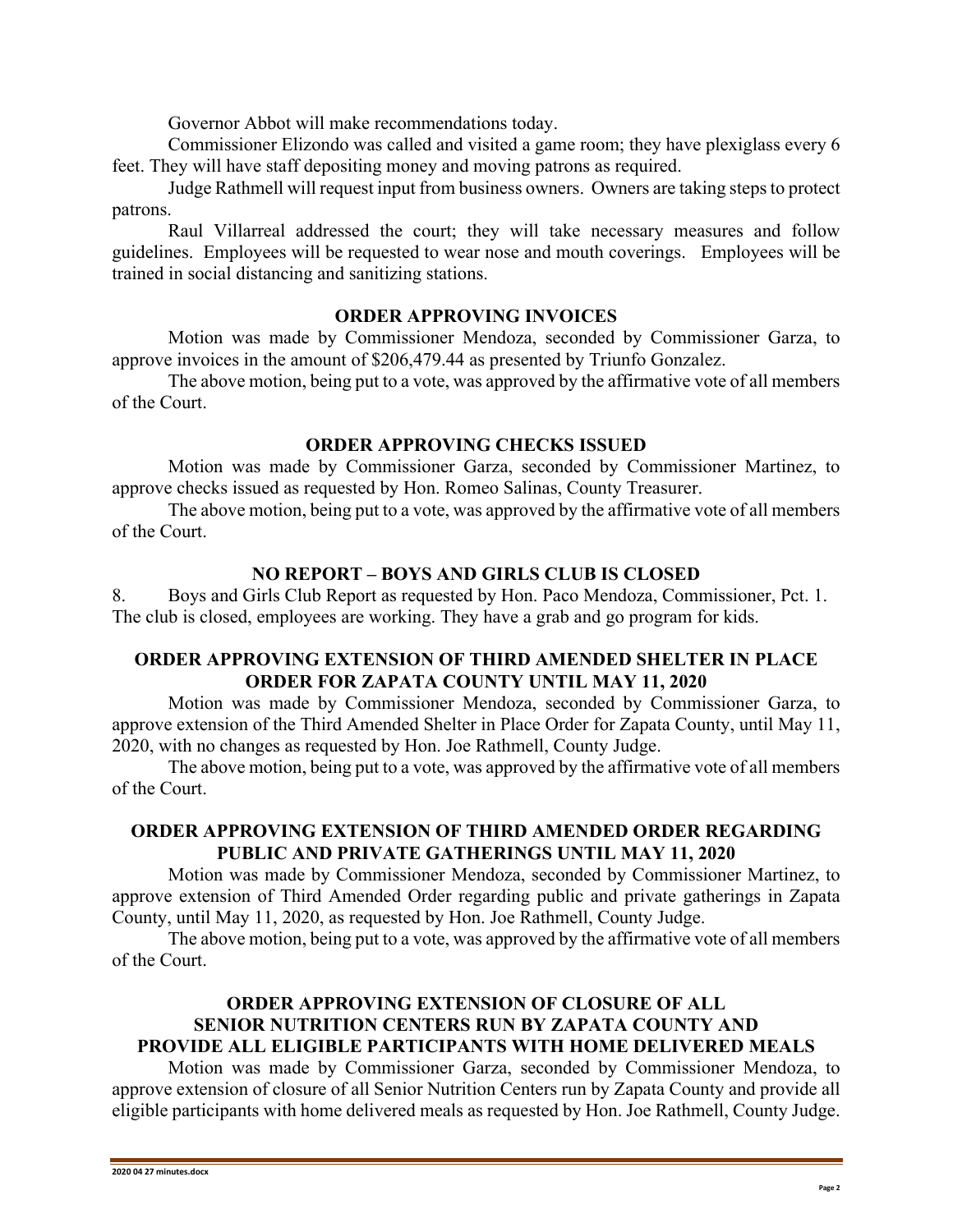Governor Abbot will make recommendations today.

Commissioner Elizondo was called and visited a game room; they have plexiglass every 6 feet. They will have staff depositing money and moving patrons as required.

Judge Rathmell will request input from business owners. Owners are taking steps to protect patrons.

Raul Villarreal addressed the court; they will take necessary measures and follow guidelines. Employees will be requested to wear nose and mouth coverings. Employees will be trained in social distancing and sanitizing stations.

### **ORDER APPROVING INVOICES**

Motion was made by Commissioner Mendoza, seconded by Commissioner Garza, to approve invoices in the amount of \$206,479.44 as presented by Triunfo Gonzalez.

The above motion, being put to a vote, was approved by the affirmative vote of all members of the Court.

### **ORDER APPROVING CHECKS ISSUED**

Motion was made by Commissioner Garza, seconded by Commissioner Martinez, to approve checks issued as requested by Hon. Romeo Salinas, County Treasurer.

The above motion, being put to a vote, was approved by the affirmative vote of all members of the Court.

### **NO REPORT – BOYS AND GIRLS CLUB IS CLOSED**

8. Boys and Girls Club Report as requested by Hon. Paco Mendoza, Commissioner, Pct. 1. The club is closed, employees are working. They have a grab and go program for kids.

# **ORDER APPROVING EXTENSION OF THIRD AMENDED SHELTER IN PLACE ORDER FOR ZAPATA COUNTY UNTIL MAY 11, 2020**

Motion was made by Commissioner Mendoza, seconded by Commissioner Garza, to approve extension of the Third Amended Shelter in Place Order for Zapata County, until May 11, 2020, with no changes as requested by Hon. Joe Rathmell, County Judge.

The above motion, being put to a vote, was approved by the affirmative vote of all members of the Court.

## **ORDER APPROVING EXTENSION OF THIRD AMENDED ORDER REGARDING PUBLIC AND PRIVATE GATHERINGS UNTIL MAY 11, 2020**

Motion was made by Commissioner Mendoza, seconded by Commissioner Martinez, to approve extension of Third Amended Order regarding public and private gatherings in Zapata County, until May 11, 2020, as requested by Hon. Joe Rathmell, County Judge.

The above motion, being put to a vote, was approved by the affirmative vote of all members of the Court.

# **ORDER APPROVING EXTENSION OF CLOSURE OF ALL SENIOR NUTRITION CENTERS RUN BY ZAPATA COUNTY AND PROVIDE ALL ELIGIBLE PARTICIPANTS WITH HOME DELIVERED MEALS**

Motion was made by Commissioner Garza, seconded by Commissioner Mendoza, to approve extension of closure of all Senior Nutrition Centers run by Zapata County and provide all eligible participants with home delivered meals as requested by Hon. Joe Rathmell, County Judge.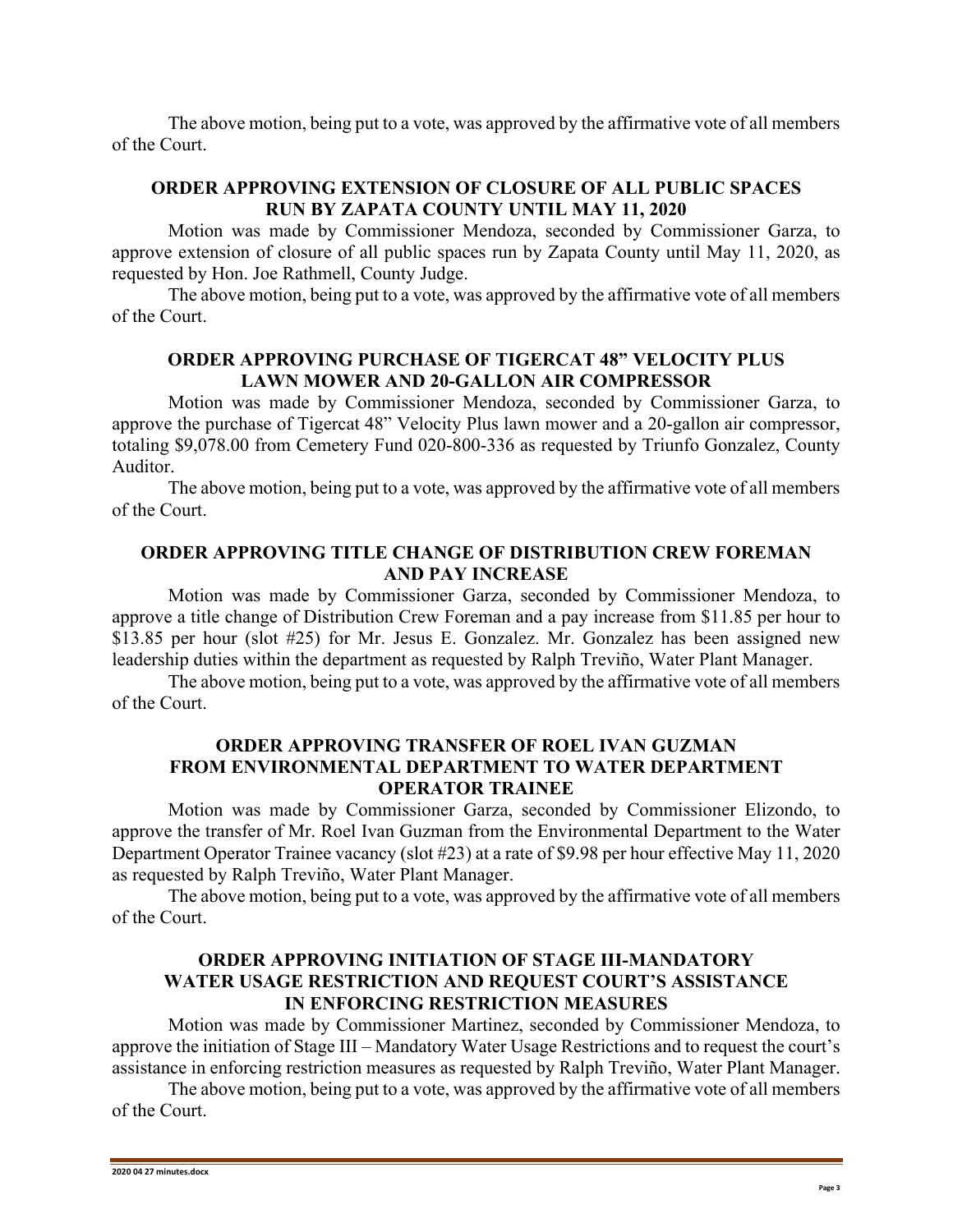The above motion, being put to a vote, was approved by the affirmative vote of all members of the Court.

# **ORDER APPROVING EXTENSION OF CLOSURE OF ALL PUBLIC SPACES RUN BY ZAPATA COUNTY UNTIL MAY 11, 2020**

Motion was made by Commissioner Mendoza, seconded by Commissioner Garza, to approve extension of closure of all public spaces run by Zapata County until May 11, 2020, as requested by Hon. Joe Rathmell, County Judge.

The above motion, being put to a vote, was approved by the affirmative vote of all members of the Court.

## **ORDER APPROVING PURCHASE OF TIGERCAT 48" VELOCITY PLUS LAWN MOWER AND 20-GALLON AIR COMPRESSOR**

Motion was made by Commissioner Mendoza, seconded by Commissioner Garza, to approve the purchase of Tigercat 48" Velocity Plus lawn mower and a 20-gallon air compressor, totaling \$9,078.00 from Cemetery Fund 020-800-336 as requested by Triunfo Gonzalez, County Auditor.

The above motion, being put to a vote, was approved by the affirmative vote of all members of the Court.

## **ORDER APPROVING TITLE CHANGE OF DISTRIBUTION CREW FOREMAN AND PAY INCREASE**

Motion was made by Commissioner Garza, seconded by Commissioner Mendoza, to approve a title change of Distribution Crew Foreman and a pay increase from \$11.85 per hour to \$13.85 per hour (slot #25) for Mr. Jesus E. Gonzalez. Mr. Gonzalez has been assigned new leadership duties within the department as requested by Ralph Treviño, Water Plant Manager.

The above motion, being put to a vote, was approved by the affirmative vote of all members of the Court.

## **ORDER APPROVING TRANSFER OF ROEL IVAN GUZMAN FROM ENVIRONMENTAL DEPARTMENT TO WATER DEPARTMENT OPERATOR TRAINEE**

Motion was made by Commissioner Garza, seconded by Commissioner Elizondo, to approve the transfer of Mr. Roel Ivan Guzman from the Environmental Department to the Water Department Operator Trainee vacancy (slot #23) at a rate of \$9.98 per hour effective May 11, 2020 as requested by Ralph Treviño, Water Plant Manager.

The above motion, being put to a vote, was approved by the affirmative vote of all members of the Court.

## **ORDER APPROVING INITIATION OF STAGE III-MANDATORY WATER USAGE RESTRICTION AND REQUEST COURT'S ASSISTANCE IN ENFORCING RESTRICTION MEASURES**

Motion was made by Commissioner Martinez, seconded by Commissioner Mendoza, to approve the initiation of Stage III – Mandatory Water Usage Restrictions and to request the court's assistance in enforcing restriction measures as requested by Ralph Treviño, Water Plant Manager.

The above motion, being put to a vote, was approved by the affirmative vote of all members of the Court.